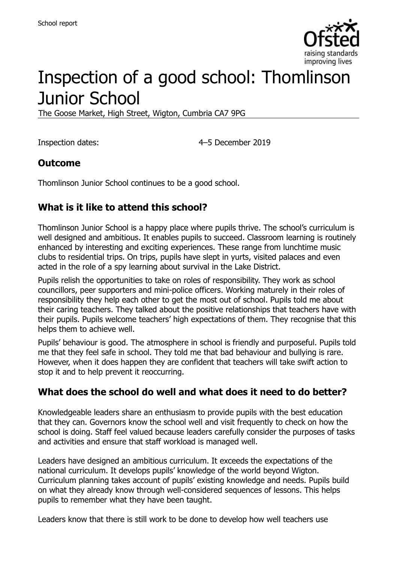

# Inspection of a good school: Thomlinson Junior School

The Goose Market, High Street, Wigton, Cumbria CA7 9PG

Inspection dates: 4–5 December 2019

#### **Outcome**

Thomlinson Junior School continues to be a good school.

## **What is it like to attend this school?**

Thomlinson Junior School is a happy place where pupils thrive. The school's curriculum is well designed and ambitious. It enables pupils to succeed. Classroom learning is routinely enhanced by interesting and exciting experiences. These range from lunchtime music clubs to residential trips. On trips, pupils have slept in yurts, visited palaces and even acted in the role of a spy learning about survival in the Lake District.

Pupils relish the opportunities to take on roles of responsibility. They work as school councillors, peer supporters and mini-police officers. Working maturely in their roles of responsibility they help each other to get the most out of school. Pupils told me about their caring teachers. They talked about the positive relationships that teachers have with their pupils. Pupils welcome teachers' high expectations of them. They recognise that this helps them to achieve well.

Pupils' behaviour is good. The atmosphere in school is friendly and purposeful. Pupils told me that they feel safe in school. They told me that bad behaviour and bullying is rare. However, when it does happen they are confident that teachers will take swift action to stop it and to help prevent it reoccurring.

#### **What does the school do well and what does it need to do better?**

Knowledgeable leaders share an enthusiasm to provide pupils with the best education that they can. Governors know the school well and visit frequently to check on how the school is doing. Staff feel valued because leaders carefully consider the purposes of tasks and activities and ensure that staff workload is managed well.

Leaders have designed an ambitious curriculum. It exceeds the expectations of the national curriculum. It develops pupils' knowledge of the world beyond Wigton. Curriculum planning takes account of pupils' existing knowledge and needs. Pupils build on what they already know through well-considered sequences of lessons. This helps pupils to remember what they have been taught.

Leaders know that there is still work to be done to develop how well teachers use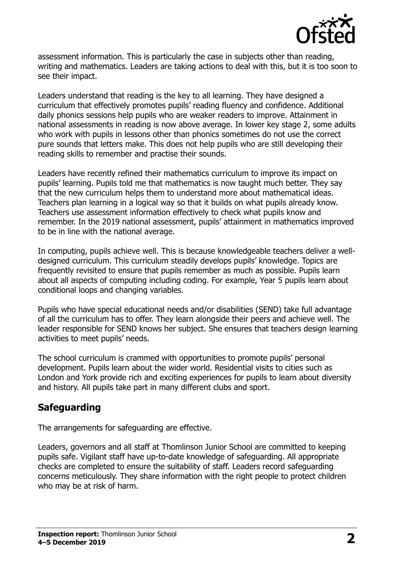

assessment information. This is particularly the case in subjects other than reading, writing and mathematics. Leaders are taking actions to deal with this, but it is too soon to see their impact.

Leaders understand that reading is the key to all learning. They have designed a curriculum that effectively promotes pupils' reading fluency and confidence. Additional daily phonics sessions help pupils who are weaker readers to improve. Attainment in national assessments in reading is now above average. In lower key stage 2, some adults who work with pupils in lessons other than phonics sometimes do not use the correct pure sounds that letters make. This does not help pupils who are still developing their reading skills to remember and practise their sounds.

Leaders have recently refined their mathematics curriculum to improve its impact on pupils' learning. Pupils told me that mathematics is now taught much better. They say that the new curriculum helps them to understand more about mathematical ideas. Teachers plan learning in a logical way so that it builds on what pupils already know. Teachers use assessment information effectively to check what pupils know and remember. In the 2019 national assessment, pupils' attainment in mathematics improved to be in line with the national average.

In computing, pupils achieve well. This is because knowledgeable teachers deliver a welldesigned curriculum. This curriculum steadily develops pupils' knowledge. Topics are frequently revisited to ensure that pupils remember as much as possible. Pupils learn about all aspects of computing including coding. For example, Year 5 pupils learn about conditional loops and changing variables.

Pupils who have special educational needs and/or disabilities (SEND) take full advantage of all the curriculum has to offer. They learn alongside their peers and achieve well. The leader responsible for SEND knows her subject. She ensures that teachers design learning activities to meet pupils' needs.

The school curriculum is crammed with opportunities to promote pupils' personal development. Pupils learn about the wider world. Residential visits to cities such as London and York provide rich and exciting experiences for pupils to learn about diversity and history. All pupils take part in many different clubs and sport.

#### **Safeguarding**

The arrangements for safeguarding are effective.

Leaders, governors and all staff at Thomlinson Junior School are committed to keeping pupils safe. Vigilant staff have up-to-date knowledge of safeguarding. All appropriate checks are completed to ensure the suitability of staff. Leaders record safeguarding concerns meticulously. They share information with the right people to protect children who may be at risk of harm.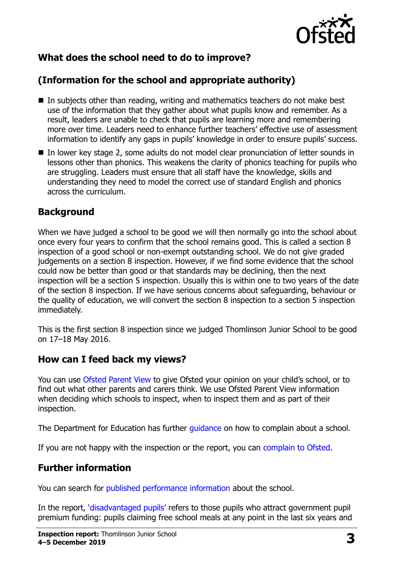

## **What does the school need to do to improve?**

# **(Information for the school and appropriate authority)**

- $\blacksquare$  In subjects other than reading, writing and mathematics teachers do not make best use of the information that they gather about what pupils know and remember. As a result, leaders are unable to check that pupils are learning more and remembering more over time. Leaders need to enhance further teachers' effective use of assessment information to identify any gaps in pupils' knowledge in order to ensure pupils' success.
- In lower key stage 2, some adults do not model clear pronunciation of letter sounds in lessons other than phonics. This weakens the clarity of phonics teaching for pupils who are struggling. Leaders must ensure that all staff have the knowledge, skills and understanding they need to model the correct use of standard English and phonics across the curriculum.

#### **Background**

When we have judged a school to be good we will then normally go into the school about once every four years to confirm that the school remains good. This is called a section 8 inspection of a good school or non-exempt outstanding school. We do not give graded judgements on a section 8 inspection. However, if we find some evidence that the school could now be better than good or that standards may be declining, then the next inspection will be a section 5 inspection. Usually this is within one to two years of the date of the section 8 inspection. If we have serious concerns about safeguarding, behaviour or the quality of education, we will convert the section 8 inspection to a section 5 inspection immediately.

This is the first section 8 inspection since we judged Thomlinson Junior School to be good on 17–18 May 2016.

#### **How can I feed back my views?**

You can use [Ofsted Parent View](https://parentview.ofsted.gov.uk/) to give Ofsted your opinion on your child's school, or to find out what other parents and carers think. We use Ofsted Parent View information when deciding which schools to inspect, when to inspect them and as part of their inspection.

The Department for Education has further quidance on how to complain about a school.

If you are not happy with the inspection or the report, you can [complain to Ofsted.](https://www.gov.uk/complain-ofsted-report)

## **Further information**

You can search for [published performance information](http://www.compare-school-performance.service.gov.uk/) about the school.

In the report, '[disadvantaged pupils](http://www.gov.uk/guidance/pupil-premium-information-for-schools-and-alternative-provision-settings)' refers to those pupils who attract government pupil premium funding: pupils claiming free school meals at any point in the last six years and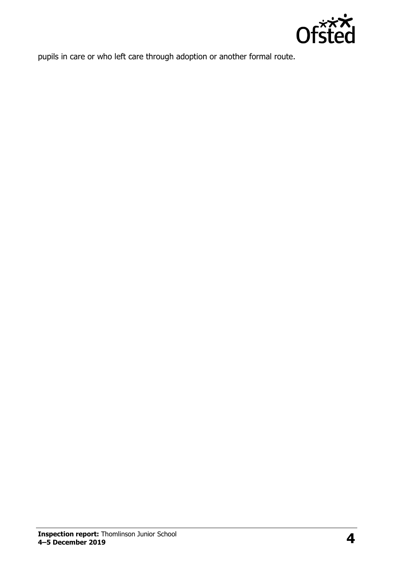

pupils in care or who left care through adoption or another formal route.

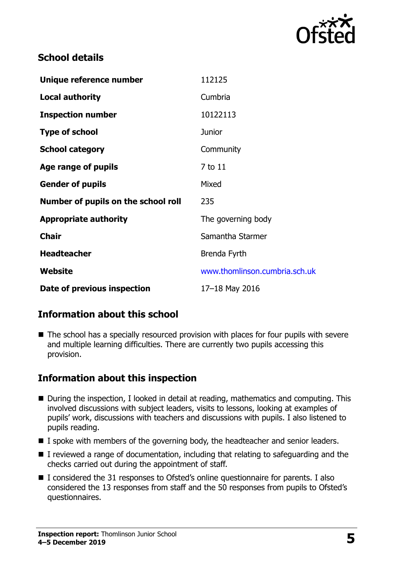

#### **School details**

| Unique reference number             | 112125                        |
|-------------------------------------|-------------------------------|
| <b>Local authority</b>              | Cumbria                       |
| <b>Inspection number</b>            | 10122113                      |
| <b>Type of school</b>               | Junior                        |
| <b>School category</b>              | Community                     |
| Age range of pupils                 | 7 to 11                       |
| <b>Gender of pupils</b>             | Mixed                         |
| Number of pupils on the school roll | 235                           |
| <b>Appropriate authority</b>        | The governing body            |
| <b>Chair</b>                        | Samantha Starmer              |
| <b>Headteacher</b>                  | Brenda Fyrth                  |
| Website                             | www.thomlinson.cumbria.sch.uk |
| Date of previous inspection         | 17-18 May 2016                |

## **Information about this school**

■ The school has a specially resourced provision with places for four pupils with severe and multiple learning difficulties. There are currently two pupils accessing this provision.

## **Information about this inspection**

- During the inspection, I looked in detail at reading, mathematics and computing. This involved discussions with subject leaders, visits to lessons, looking at examples of pupils' work, discussions with teachers and discussions with pupils. I also listened to pupils reading.
- I spoke with members of the governing body, the headteacher and senior leaders.
- I reviewed a range of documentation, including that relating to safeguarding and the checks carried out during the appointment of staff.
- I considered the 31 responses to Ofsted's online questionnaire for parents. I also considered the 13 responses from staff and the 50 responses from pupils to Ofsted's questionnaires.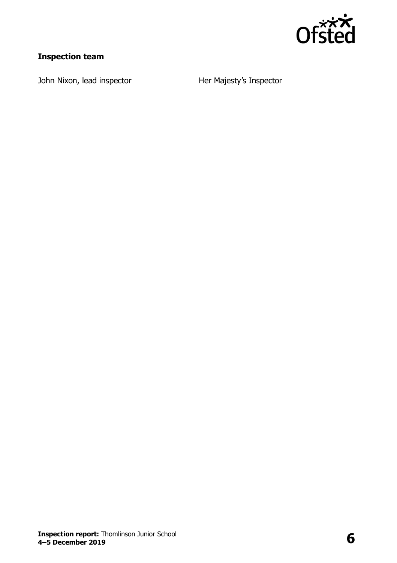

## **Inspection team**

John Nixon, lead inspector **Her Majesty's Inspector**